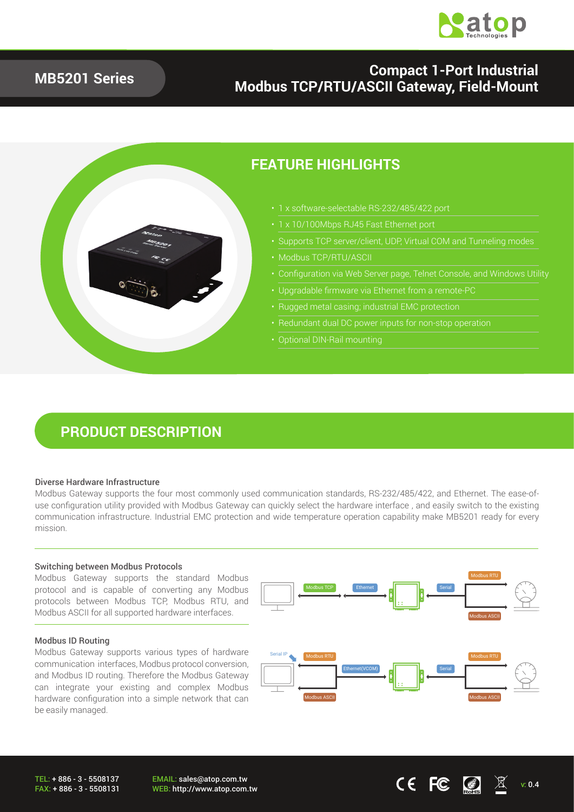

### **Compact 1-Port Industrial Modbus TCP/RTU/ASCII Gateway, Field-Mount**



### **FEATURE HIGHLIGHTS**

- 1 x software-selectable RS-232/485/422 port
- 1 x 10/100Mbps RJ45 Fast Ethernet port
- Supports TCP server/client, UDP, Virtual COM and Tunneling modes
- 
- Configuration via Web Server page, Telnet Console, and Windows Utility
- Upgradable firmware via Ethernet from a remote-PC
- Rugged metal casing; industrial EMC protection
- 
- 

### **PRODUCT DESCRIPTION**

#### Diverse Hardware Infrastructure

Modbus Gateway supports the four most commonly used communication standards, RS-232/485/422, and Ethernet. The ease-ofuse configuration utility provided with Modbus Gateway can quickly select the hardware interface , and easily switch to the existing communication infrastructure. Industrial EMC protection and wide temperature operation capability make MB5201 ready for every mission.

#### Switching between Modbus Protocols

Modbus Gateway supports the standard Modbus protocol and is capable of converting any Modbus protocols between Modbus TCP, Modbus RTU, and Modbus ASCII for all supported hardware interfaces.

#### Modbus ID Routing

Modbus Gateway supports various types of hardware communication interfaces, Modbus protocol conversion, and Modbus ID routing. Therefore the Modbus Gateway can integrate your existing and complex Modbus hardware configuration into a simple network that can be easily managed.



EMAIL: sales@atop.com.tw EMAIL: sales@atop.com.tw<br>WEB: http://www.atop.com.tw v: 0.4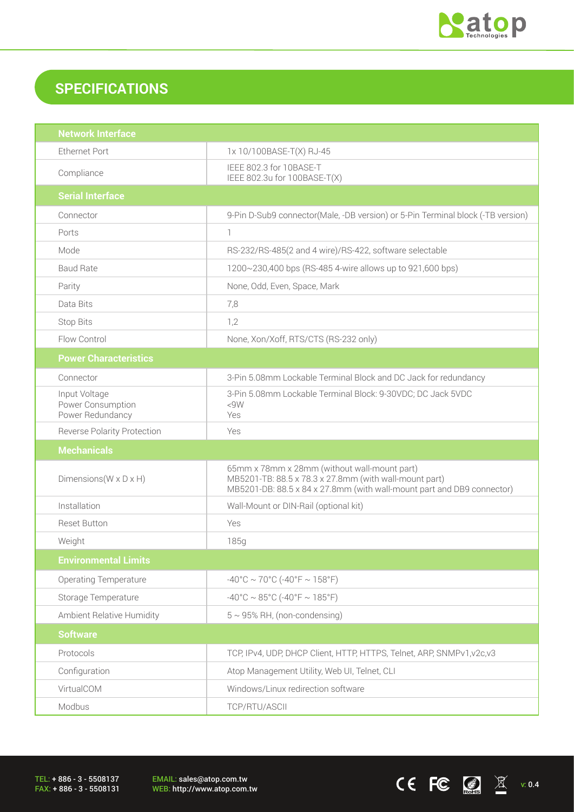

 $CE$  FC  $\boxed{3}$   $X$  v: 0.4

# **SPECIFICATIONS**

| <b>Network Interface</b>                               |                                                                                                                                                                                  |  |
|--------------------------------------------------------|----------------------------------------------------------------------------------------------------------------------------------------------------------------------------------|--|
| <b>Ethernet Port</b>                                   | 1x 10/100BASE-T(X) RJ-45                                                                                                                                                         |  |
| Compliance                                             | IEEE 802.3 for 10BASE-T<br>IEEE 802.3u for 100BASE-T(X)                                                                                                                          |  |
| <b>Serial Interface</b>                                |                                                                                                                                                                                  |  |
| Connector                                              | 9-Pin D-Sub9 connector(Male, -DB version) or 5-Pin Terminal block (-TB version)                                                                                                  |  |
| Ports                                                  | $\mathbb{1}$                                                                                                                                                                     |  |
| Mode                                                   | RS-232/RS-485(2 and 4 wire)/RS-422, software selectable                                                                                                                          |  |
| <b>Baud Rate</b>                                       | 1200~230,400 bps (RS-485 4-wire allows up to 921,600 bps)                                                                                                                        |  |
| Parity                                                 | None, Odd, Even, Space, Mark                                                                                                                                                     |  |
| Data Bits                                              | 7,8                                                                                                                                                                              |  |
| <b>Stop Bits</b>                                       | 1,2                                                                                                                                                                              |  |
| Flow Control                                           | None, Xon/Xoff, RTS/CTS (RS-232 only)                                                                                                                                            |  |
| <b>Power Characteristics</b>                           |                                                                                                                                                                                  |  |
| Connector                                              | 3-Pin 5.08mm Lockable Terminal Block and DC Jack for redundancy                                                                                                                  |  |
| Input Voltage<br>Power Consumption<br>Power Redundancy | 3-Pin 5.08mm Lockable Terminal Block: 9-30VDC; DC Jack 5VDC<br>< 9W<br>Yes                                                                                                       |  |
| <b>Reverse Polarity Protection</b>                     | Yes                                                                                                                                                                              |  |
| <b>Mechanicals</b>                                     |                                                                                                                                                                                  |  |
| Dimensions ( $W \times D \times H$ )                   | 65mm x 78mm x 28mm (without wall-mount part)<br>MB5201-TB: 88.5 x 78.3 x 27.8mm (with wall-mount part)<br>MB5201-DB: 88.5 x 84 x 27.8mm (with wall-mount part and DB9 connector) |  |
| Installation                                           | Wall-Mount or DIN-Rail (optional kit)                                                                                                                                            |  |
| <b>Reset Button</b>                                    | Yes                                                                                                                                                                              |  |
| Weight                                                 | 185g                                                                                                                                                                             |  |
| <b>Environmental Limits</b>                            |                                                                                                                                                                                  |  |
| <b>Operating Temperature</b>                           | $-40^{\circ}$ C ~ 70°C (-40°F ~ 158°F)                                                                                                                                           |  |
| Storage Temperature                                    | $-40^{\circ}$ C ~ 85°C (-40°F ~ 185°F)                                                                                                                                           |  |
| Ambient Relative Humidity                              | $5 \sim 95\%$ RH, (non-condensing)                                                                                                                                               |  |
| <b>Software</b>                                        |                                                                                                                                                                                  |  |
| Protocols                                              | TCP, IPv4, UDP, DHCP Client, HTTP, HTTPS, Telnet, ARP, SNMPv1, v2c, v3                                                                                                           |  |
| Configuration                                          | Atop Management Utility, Web UI, Telnet, CLI                                                                                                                                     |  |
| VirtualCOM                                             | Windows/Linux redirection software                                                                                                                                               |  |
| Modbus                                                 | TCP/RTU/ASCII                                                                                                                                                                    |  |

TEL: + 886 - 3 - 5508137 FAX: + 886 - 3 - 5508131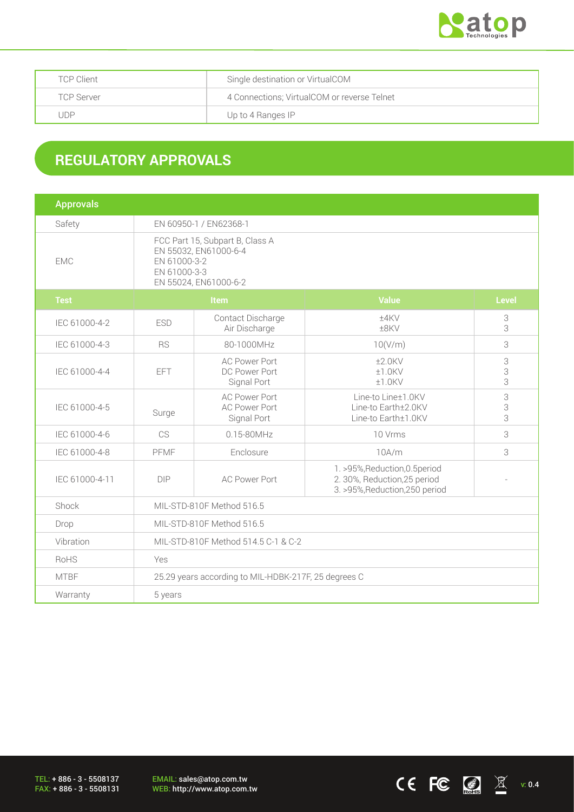

| <b>TCP Client</b> | Single destination or VirtualCOM            |
|-------------------|---------------------------------------------|
| TCP Server        | 4 Connections; VirtualCOM or reverse Telnet |
| JDP               | Up to 4 Ranges IP                           |

## **REGULATORY APPROVALS**

| <b>Approvals</b> |                                                                                                                   |                                                             |                                                                                                  |                                     |  |
|------------------|-------------------------------------------------------------------------------------------------------------------|-------------------------------------------------------------|--------------------------------------------------------------------------------------------------|-------------------------------------|--|
| Safety           | EN 60950-1 / EN62368-1                                                                                            |                                                             |                                                                                                  |                                     |  |
| <b>EMC</b>       | FCC Part 15, Subpart B, Class A<br>EN 55032, EN61000-6-4<br>EN 61000-3-2<br>EN 61000-3-3<br>EN 55024, EN61000-6-2 |                                                             |                                                                                                  |                                     |  |
| <b>Test</b>      | <b>Item</b>                                                                                                       |                                                             | <b>Value</b>                                                                                     | <b>Level</b>                        |  |
| IEC 61000-4-2    | <b>ESD</b>                                                                                                        | Contact Discharge<br>Air Discharge                          | ±4KV<br>±8KV                                                                                     | 3<br>3                              |  |
| IEC 61000-4-3    | <b>RS</b>                                                                                                         | 80-1000MHz                                                  | 10(V/m)                                                                                          | 3                                   |  |
| IEC 61000-4-4    | EFT                                                                                                               | <b>AC Power Port</b><br>DC Power Port<br>Signal Port        | $±2.0$ KV<br>±1.0KV<br>±1.0KV                                                                    | $\ensuremath{\mathsf{3}}$<br>3<br>3 |  |
| IEC 61000-4-5    | Surge                                                                                                             | <b>AC Power Port</b><br><b>AC Power Port</b><br>Signal Port | Line-to Line±1.0KV<br>Line-to Earth±2.0KV<br>Line-to Earth±1.0KV                                 | 3<br>3<br>3                         |  |
| IEC 61000-4-6    | CS                                                                                                                | 0.15-80MHz                                                  | 10 Vrms                                                                                          | 3                                   |  |
| IEC 61000-4-8    | PFMF                                                                                                              | Enclosure                                                   | 10A/m                                                                                            | 3                                   |  |
| IEC 61000-4-11   | <b>DIP</b>                                                                                                        | <b>AC Power Port</b>                                        | 1. >95%, Reduction, 0.5 period<br>2. 30%, Reduction, 25 period<br>3. >95%, Reduction, 250 period |                                     |  |
| Shock            | MIL-STD-810F Method 516.5                                                                                         |                                                             |                                                                                                  |                                     |  |
| Drop             | MIL-STD-810F Method 516.5                                                                                         |                                                             |                                                                                                  |                                     |  |
| Vibration        | MIL-STD-810F Method 514.5 C-1 & C-2                                                                               |                                                             |                                                                                                  |                                     |  |
| RoHS             | Yes                                                                                                               |                                                             |                                                                                                  |                                     |  |
| <b>MTBF</b>      | 25.29 years according to MIL-HDBK-217F, 25 degrees C                                                              |                                                             |                                                                                                  |                                     |  |
| Warranty         | 5 years                                                                                                           |                                                             |                                                                                                  |                                     |  |